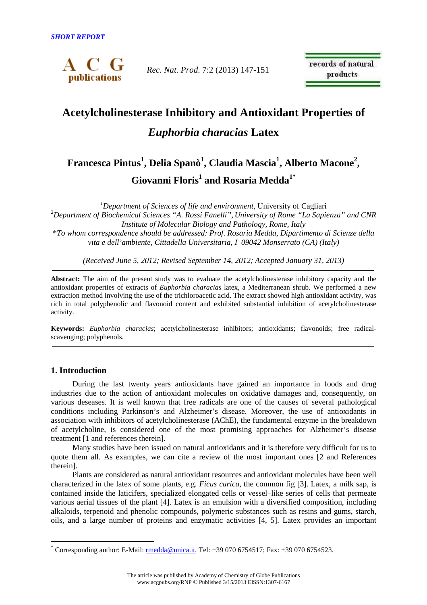

*Rec. Nat. Prod*. 7:2 (2013) 147-151

records of natural products

# **Acetylcholinesterase Inhibitory and Antioxidant Properties of**  *Euphorbia characias* **Latex**

## **Francesca Pintus<sup>1</sup> , Delia Spanò<sup>1</sup> , Claudia Mascia<sup>1</sup> , Alberto Macone<sup>2</sup> , Giovanni Floris<sup>1</sup> and Rosaria Medda1\***

*<sup>1</sup>Department of Sciences of life and environment*, University of Cagliari <sup>2</sup>*Department of Biochemical Sciences "A. Rossi Fanelli", University of Rome "La Sapienza" and CNR Institute of Molecular Biology and Pathology, Rome, Italy*  \**To whom correspondence should be addressed: Prof. Rosaria Medda, Dipartimento di Scienze della vita e dell'ambiente, Cittadella Universitaria, I–09042 Monserrato (CA) (Italy)* 

*(Received June 5, 2012; Revised September 14, 2012; Accepted January 31, 2013)* 

**Abstract:** The aim of the present study was to evaluate the acetylcholinesterase inhibitory capacity and the antioxidant properties of extracts of *Euphorbia characias* latex, a Mediterranean shrub. We performed a new extraction method involving the use of the trichloroacetic acid. The extract showed high antioxidant activity, was rich in total polyphenolic and flavonoid content and exhibited substantial inhibition of acetylcholinesterase activity.

**Keywords:** *Euphorbia characias*; acetylcholinesterase inhibitors; antioxidants; flavonoids; free radicalscavenging; polyphenols.

### **1. Introduction**

 $\overline{a}$ 

During the last twenty years antioxidants have gained an importance in foods and drug industries due to the action of antioxidant molecules on oxidative damages and, consequently, on various deseases. It is well known that free radicals are one of the causes of several pathological conditions including Parkinson's and Alzheimer's disease. Moreover, the use of antioxidants in association with inhibitors of acetylcholinesterase (AChE), the fundamental enzyme in the breakdown of acetylcholine, is considered one of the most promising approaches for Alzheimer's disease treatment [1 and references therein].

Many studies have been issued on natural antioxidants and it is therefore very difficult for us to quote them all. As examples, we can cite a review of the most important ones [2 and References therein].

Plants are considered as natural antioxidant resources and antioxidant molecules have been well characterized in the latex of some plants, e.g. *Ficus carica*, the common fig [3]. Latex, a milk sap, is contained inside the laticifers, specialized elongated cells or vessel–like series of cells that permeate various aerial tissues of the plant [4]. Latex is an emulsion with a diversified composition, including alkaloids, terpenoid and phenolic compounds, polymeric substances such as resins and gums, starch, oils, and a large number of proteins and enzymatic activities [4, 5]. Latex provides an important

<sup>\*</sup> Corresponding author: E-Mail:  $\frac{\text{rmedda}\ @\ \text{unica.it}}{\text{rcl.}}$  Tel: +39 070 6754517; Fax: +39 070 6754523.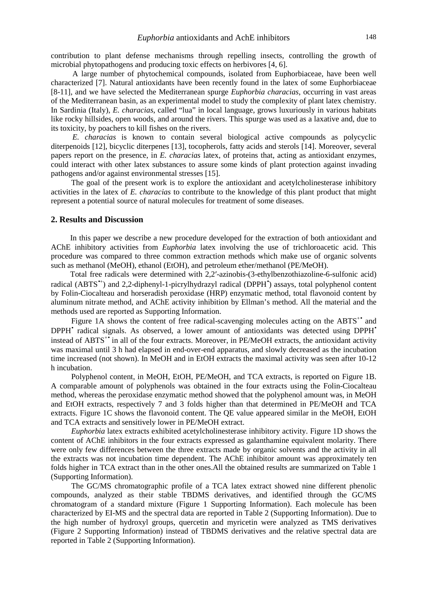contribution to plant defense mechanisms through repelling insects, controlling the growth of microbial phytopathogens and producing toxic effects on herbivores [4, 6].

A large number of phytochemical compounds, isolated from Euphorbiaceae, have been well characterized [7]. Natural antioxidants have been recently found in the latex of some Euphorbiaceae [8-11], and we have selected the Mediterranean spurge *Euphorbia characias*, occurring in vast areas of the Mediterranean basin, as an experimental model to study the complexity of plant latex chemistry. In Sardinia (Italy), *E. characias*, called "lua" in local language, grows luxuriously in various habitats like rocky hillsides, open woods, and around the rivers. This spurge was used as a laxative and, due to its toxicity, by poachers to kill fishes on the rivers.

*E. characias* is known to contain several biological active compounds as polycyclic diterpenoids [12], bicyclic diterpenes [13], tocopherols, fatty acids and sterols [14]. Moreover, several papers report on the presence, in *E. characias* latex, of proteins that, acting as antioxidant enzymes, could interact with other latex substances to assure some kinds of plant protection against invading pathogens and/or against environmental stresses [15].

The goal of the present work is to explore the antioxidant and acetylcholinesterase inhibitory activities in the latex of *E. characias* to contribute to the knowledge of this plant product that might represent a potential source of natural molecules for treatment of some diseases.

#### **2. Results and Discussion**

In this paper we describe a new procedure developed for the extraction of both antioxidant and AChE inhibitory activities from *Euphorbia* latex involving the use of trichloroacetic acid. This procedure was compared to three common extraction methods which make use of organic solvents such as methanol (MeOH), ethanol (EtOH), and petroleum ether/methanol (PE/MeOH).

Total free radicals were determined with 2,2′-azinobis-(3-ethylbenzothiazoline-6-sulfonic acid) radical (ABTS<sup>\*+</sup>) and 2,2-diphenyl-1-picrylhydrazyl radical (DPPH<sup>\*</sup>) assays, total polyphenol content by Folin-Ciocalteau and horseradish peroxidase (HRP) enzymatic method, total flavonoid content by aluminum nitrate method, and AChE activity inhibition by Ellman's method. All the material and the methods used are reported as Supporting Information.

Figure 1A shows the content of free radical-scavenging molecules acting on the ABTS<sup>+•</sup> and DPPH<sup>•</sup> radical signals. As observed, a lower amount of antioxidants was detected using DPPH<sup>•</sup> instead of ABTS<sup>+•</sup> in all of the four extracts. Moreover, in PE/MeOH extracts, the antioxidant activity was maximal until 3 h had elapsed in end-over-end apparatus, and slowly decreased as the incubation time increased (not shown). In MeOH and in EtOH extracts the maximal activity was seen after 10-12 h incubation.

Polyphenol content, in MeOH, EtOH, PE/MeOH, and TCA extracts, is reported on Figure 1B. A comparable amount of polyphenols was obtained in the four extracts using the Folin-Ciocalteau method, whereas the peroxidase enzymatic method showed that the polyphenol amount was, in MeOH and EtOH extracts, respectively 7 and 3 folds higher than that determined in PE/MeOH and TCA extracts. Figure 1C shows the flavonoid content. The QE value appeared similar in the MeOH, EtOH and TCA extracts and sensitively lower in PE/MeOH extract.

*Euphorbia* latex extracts exhibited acetylcholinesterase inhibitory activity. Figure 1D shows the content of AChE inhibitors in the four extracts expressed as galanthamine equivalent molarity. There were only few differences between the three extracts made by organic solvents and the activity in all the extracts was not incubation time dependent. The AChE inhibitor amount was approximately ten folds higher in TCA extract than in the other ones.All the obtained results are summarized on Table 1 (Supporting Information).

The GC/MS chromatographic profile of a TCA latex extract showed nine different phenolic compounds, analyzed as their stable TBDMS derivatives, and identified through the GC/MS chromatogram of a standard mixture (Figure 1 Supporting Information). Each molecule has been characterized by EI-MS and the spectral data are reported in Table 2 (Supporting Information). Due to the high number of hydroxyl groups, quercetin and myricetin were analyzed as TMS derivatives (Figure 2 Supporting Information) instead of TBDMS derivatives and the relative spectral data are reported in Table 2 (Supporting Information).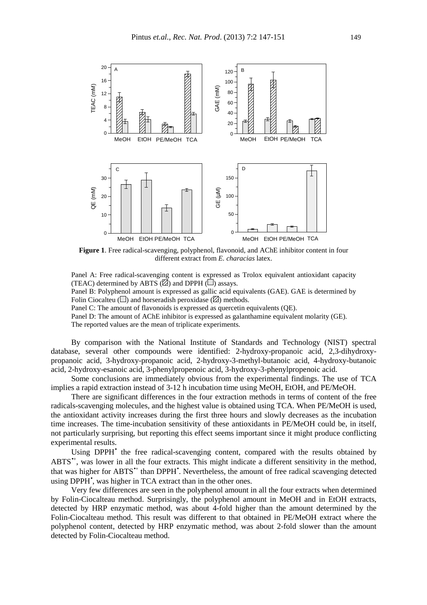

**Figure 1**. Free radical-scavenging, polyphenol, flavonoid, and AChE inhibitor content in four different extract from *E. characias* latex.

Panel A: Free radical-scavenging content is expressed as Trolox equivalent antioxidant capacity (TEAC) determined by ABTS  $(\boxtimes)$  and DPPH  $(\blacksquare)$  assays.

Panel B: Polyphenol amount is expressed as gallic acid equivalents (GAE). GAE is determined by Folin Ciocalteu ( $\Box$ ) and horseradish peroxidase ( $\Box$ ) methods.

Panel C: The amount of flavonoids is expressed as quercetin equivalents (QE).

Panel D: The amount of AChE inhibitor is expressed as galanthamine equivalent molarity (GE).

The reported values are the mean of triplicate experiments.

By comparison with the National Institute of Standards and Technology (NIST) spectral database, several other compounds were identified: 2-hydroxy-propanoic acid, 2,3-dihydroxypropanoic acid, 3-hydroxy-propanoic acid, 2-hydroxy-3-methyl-butanoic acid, 4-hydroxy-butanoic acid, 2-hydroxy-esanoic acid, 3-phenylpropenoic acid, 3-hydroxy-3-phenylpropenoic acid.

Some conclusions are immediately obvious from the experimental findings. The use of TCA implies a rapid extraction instead of 3-12 h incubation time using MeOH, EtOH, and PE/MeOH.

There are significant differences in the four extraction methods in terms of content of the free radicals-scavenging molecules, and the highest value is obtained using TCA. When PE/MeOH is used, the antioxidant activity increases during the first three hours and slowly decreases as the incubation time increases. The time-incubation sensitivity of these antioxidants in PE/MeOH could be, in itself, not particularly surprising, but reporting this effect seems important since it might produce conflicting experimental results.

Using DPPH<sup>•</sup> the free radical-scavenging content, compared with the results obtained by ABTS<sup>\*+</sup>, was lower in all the four extracts. This might indicate a different sensitivity in the method, that was higher for ABTS<sup>\*+</sup> than DPPH<sup>\*</sup>. Nevertheless, the amount of free radical scavenging detected using DPPH<sup>\*</sup>, was higher in TCA extract than in the other ones.

Very few differences are seen in the polyphenol amount in all the four extracts when determined by Folin-Ciocalteau method. Surprisingly, the polyphenol amount in MeOH and in EtOH extracts, detected by HRP enzymatic method, was about 4-fold higher than the amount determined by the Folin-Ciocalteau method. This result was different to that obtained in PE/MeOH extract where the polyphenol content, detected by HRP enzymatic method, was about 2-fold slower than the amount detected by Folin-Ciocalteau method.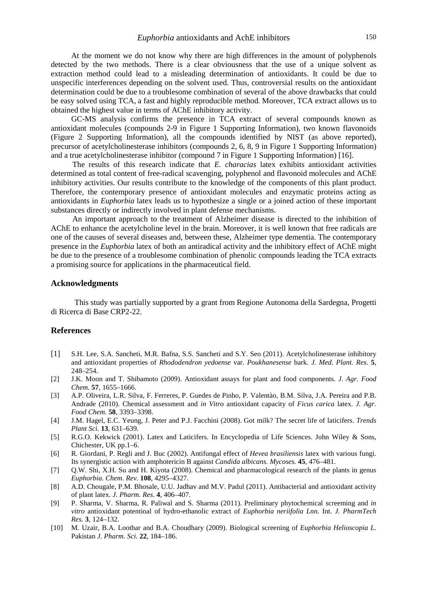At the moment we do not know why there are high differences in the amount of polyphenols detected by the two methods. There is a clear obviousness that the use of a unique solvent as extraction method could lead to a misleading determination of antioxidants. It could be due to unspecific interferences depending on the solvent used. Thus, controversial results on the antioxidant determination could be due to a troublesome combination of several of the above drawbacks that could be easy solved using TCA, a fast and highly reproducible method. Moreover, TCA extract allows us to obtained the highest value in terms of AChE inhibitory activity.

GC-MS analysis confirms the presence in TCA extract of several compounds known as antioxidant molecules (compounds 2-9 in Figure 1 Supporting Information), two known flavonoids (Figure 2 Supporting Information), all the compounds identified by NIST (as above reported), precursor of acetylcholinesterase inhibitors (compounds 2, 6, 8, 9 in Figure 1 Supporting Information) and a true acetylcholinesterase inhibitor (compound 7 in Figure 1 Supporting Information) [16].

The results of this research indicate that *E. characias* latex exhibits antioxidant activities determined as total content of free-radical scavenging, polyphenol and flavonoid molecules and AChE inhibitory activities. Our results contribute to the knowledge of the components of this plant product. Therefore, the contemporary presence of antioxidant molecules and enzymatic proteins acting as antioxidants in *Euphorbia* latex leads us to hypothesize a single or a joined action of these important substances directly or indirectly involved in plant defense mechanisms.

An important approach to the treatment of Alzheimer disease is directed to the inhibition of AChE to enhance the acetylcholine level in the brain. Moreover, it is well known that free radicals are one of the causes of several diseases and, between these, Alzheimer type dementia. The contemporary presence in the *Euphorbia* latex of both an antiradical activity and the inhibitory effect of AChE might be due to the presence of a troublesome combination of phenolic compounds leading the TCA extracts a promising source for applications in the pharmaceutical field.

#### **Acknowledgments**

 This study was partially supported by a grant from Regione Autonoma della Sardegna, Progetti di Ricerca di Base CRP2-22.

#### **References**

- [1] S.H. Lee, S.A. Sancheti, M.R. Bafna, S.S. Sancheti and S.Y. Seo (2011). Acetylcholinesterase inhibitory and antioxidant properties of *Rhododendron yedoense* var. *Poukhanesense* bark. *J. Med. Plant. Res.* **5**, 248–254.
- [2] J.K. Moon and T. Shibamoto (2009). Antioxidant assays for plant and food components. *J. Agr. Food Chem.* **57**, 1655–1666.
- [3] A.P. Oliveira, L.R. Silva, F. Ferreres, P. Guedes de Pinho, P. Valentào, B.M. Silva, J.A. Pereira and P.B. Andrade (2010). Chemical assessment and *in Vitro* antioxidant capacity of *Ficus carica* latex. *J. Agr. Food Chem.* **58**, 3393–3398.
- [4] J.M. Hagel, E.C. Yeung, J. Peter and P.J. Facchini (2008). Got milk? The secret life of laticifers. *Trends Plant Sci.* **13**, 631–639.
- [5] R.G.O. Kekwick (2001). Latex and Laticifers. In Encyclopedia of Life Sciences. John Wiley & Sons, Chichester, UK pp.1–6.
- [6] R. Giordani, P. Regli and J. Buc (2002). Antifungal effect of *Hevea brasiliensis* latex with various fungi. Its synergistic action with amphotericin B against *Candida albicans. Mycoses.* **45**, 476–481.
- [7] Q.W. Shi, X.H. Su and H. Kiyota (2008). Chemical and pharmacological research of the plants in genus *Euphorbia*. *Chem. Rev.* **108**, 4295–4327.
- [8] A.D. Chougale, P.M. Bhosale, U.U. Jadhav and M.V. Padul (2011). Antibacterial and antioxidant activity of plant latex. *J. Pharm. Res*. **4**, 406–407.
- [9] P. Sharma, V. Sharma, R. Paliwal and S. Sharma (2011). Preliminary phytochemical screeming and *in vitro* antioxidant potentioal of hydro-ethanolic extract of *Euphorbia neriifolia Lnn.* Int. *J. PharmTech Res.* **3**, 124–132.
- [10] M. Uzair, B.A. Loothar and B.A. Choudhary (2009). Biological screening of *Euphorbia Helioscopia L.* Pakistan *J. Pharm. Sci.* **22**, 184–186.